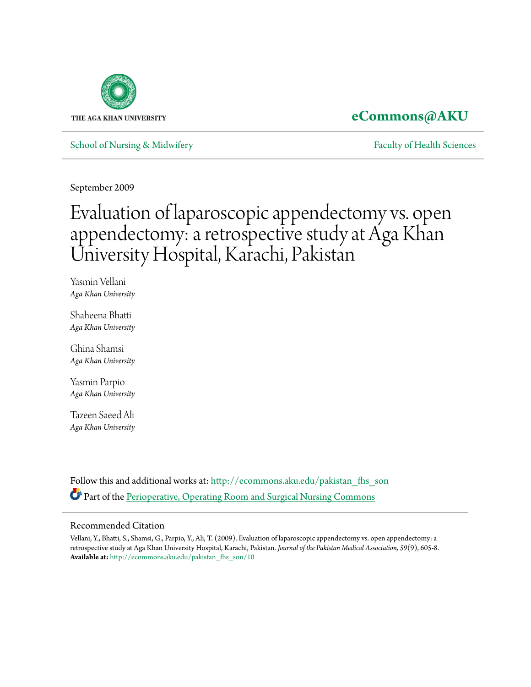

# **[eCommons@AKU](http://ecommons.aku.edu?utm_source=ecommons.aku.edu%2Fpakistan_fhs_son%2F10&utm_medium=PDF&utm_campaign=PDFCoverPages)**

[School of Nursing & Midwifery](http://ecommons.aku.edu/pakistan_fhs_son?utm_source=ecommons.aku.edu%2Fpakistan_fhs_son%2F10&utm_medium=PDF&utm_campaign=PDFCoverPages) **[Faculty of Health Sciences](http://ecommons.aku.edu/pakistan_fhs?utm_source=ecommons.aku.edu%2Fpakistan_fhs_son%2F10&utm_medium=PDF&utm_campaign=PDFCoverPages)** Faculty of Health Sciences

September 2009

# Evaluation of laparoscopic appendectomy vs. open appendectomy: a retrospective study at Aga Khan University Hospital, Karachi, Pakistan

Yasmin Vellani *Aga Khan University*

Shaheena Bhatti *Aga Khan University*

Ghina Shamsi *Aga Khan University*

Yasmin Parpio *Aga Khan University*

Tazeen Saeed Ali *Aga Khan University*

Follow this and additional works at: [http://ecommons.aku.edu/pakistan\\_fhs\\_son](http://ecommons.aku.edu/pakistan_fhs_son?utm_source=ecommons.aku.edu%2Fpakistan_fhs_son%2F10&utm_medium=PDF&utm_campaign=PDFCoverPages) Part of the [Perioperative, Operating Room and Surgical Nursing Commons](http://network.bepress.com/hgg/discipline/726?utm_source=ecommons.aku.edu%2Fpakistan_fhs_son%2F10&utm_medium=PDF&utm_campaign=PDFCoverPages)

## Recommended Citation

Vellani, Y., Bhatti, S., Shamsi, G., Parpio, Y., Ali, T. (2009). Evaluation of laparoscopic appendectomy vs. open appendectomy: a retrospective study at Aga Khan University Hospital, Karachi, Pakistan. *Journal of the Pakistan Medical Association, 59*(9), 605-8. **Available at:** [http://ecommons.aku.edu/pakistan\\_fhs\\_son/10](http://ecommons.aku.edu/pakistan_fhs_son/10)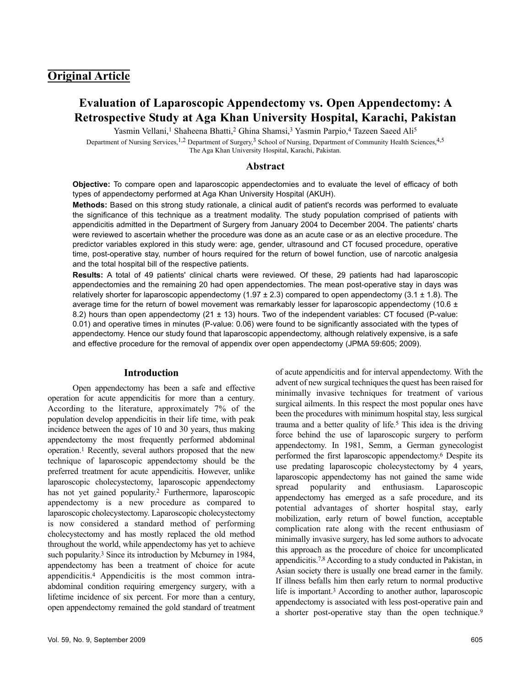# **Original Article**

# **Evaluation of Laparoscopic Appendectomy vs. Open Appendectomy: A Retrospective Study at Aga Khan University Hospital, Karachi, Pakistan**

Yasmin Vellani,<sup>1</sup> Shaheena Bhatti,<sup>2</sup> Ghina Shamsi,<sup>3</sup> Yasmin Parpio,<sup>4</sup> Tazeen Saeed Ali<sup>5</sup>

Department of Nursing Services,<sup>1,2</sup> Department of Surgery,<sup>3</sup> School of Nursing, Department of Community Health Sciences,<sup>4,5</sup> The Aga Khan University Hospital, Karachi, Pakistan.

#### **Abstract**

**Objective:** To compare open and laparoscopic appendectomies and to evaluate the level of efficacy of both types of appendectomy performed at Aga Khan University Hospital (AKUH).

**Methods:** Based on this strong study rationale, a clinical audit of patient's records was performed to evaluate the significance of this technique as a treatment modality. The study population comprised of patients with appendicitis admitted in the Department of Surgery from January 2004 to December 2004. The patients' charts were reviewed to ascertain whether the procedure was done as an acute case or as an elective procedure. The predictor variables explored in this study were: age, gender, ultrasound and CT focused procedure, operative time, post-operative stay, number of hours required for the return of bowel function, use of narcotic analgesia and the total hospital bill of the respective patients.

**Results:** A total of 49 patients' clinical charts were reviewed. Of these, 29 patients had had laparoscopic appendectomies and the remaining 20 had open appendectomies. The mean post-operative stay in days was relatively shorter for laparoscopic appendectomy  $(1.97 \pm 2.3)$  compared to open appendectomy  $(3.1 \pm 1.8)$ . The average time for the return of bowel movement was remarkably lesser for laparoscopic appendectomy (10.6  $\pm$ 8.2) hours than open appendectomy ( $21 \pm 13$ ) hours. Two of the independent variables: CT focused (P-value: 0.01) and operative times in minutes (P-value: 0.06) were found to be significantly associated with the types of appendectomy. Hence our study found that laparoscopic appendectomy, although relatively expensive, is a safe and effective procedure for the removal of appendix over open appendectomy (JPMA 59:605; 2009).

## **Introduction**

Open appendectomy has been a safe and effective operation for acute appendicitis for more than a century. According to the literature, approximately 7% of the population develop appendicitis in their life time, with peak incidence between the ages of 10 and 30 years, thus making appendectomy the most frequently performed abdominal operation.<sup>1</sup> Recently, several authors proposed that the new technique of laparoscopic appendectomy should be the preferred treatment for acute appendicitis. However, unlike laparoscopic cholecystectomy, laparoscopic appendectomy has not yet gained popularity.<sup>2</sup> Furthermore, laparoscopic appendectomy is a new procedure as compared to laparoscopic cholecystectomy. Laparoscopic cholecystectomy is now considered a standard method of performing cholecystectomy and has mostly replaced the old method throughout the world, while appendectomy has yet to achieve such popularity.<sup>3</sup> Since its introduction by Mcburney in 1984, appendectomy has been a treatment of choice for acute appendicitis.<sup>4</sup> Appendicitis is the most common intraabdominal condition requiring emergency surgery, with a lifetime incidence of six percent. For more than a century, open appendectomy remained the gold standard of treatment

minimally invasive techniques for treatment of various surgical ailments. In this respect the most popular ones have been the procedures with minimum hospital stay, less surgical trauma and a better quality of life.<sup>5</sup> This idea is the driving force behind the use of laparoscopic surgery to perform appendectomy. In 1981, Semm, a German gynecologist performed the first laparoscopic appendectomy.<sup>6</sup> Despite its use predating laparoscopic cholecystectomy by 4 years, laparoscopic appendectomy has not gained the same wide spread popularity and enthusiasm. Laparoscopic appendectomy has emerged as a safe procedure, and its potential advantages of shorter hospital stay, early mobilization, early return of bowel function, acceptable complication rate along with the recent enthusiasm of minimally invasive surgery, has led some authors to advocate this approach as the procedure of choice for uncomplicated appendicitis.7,8 According to a study conducted in Pakistan, in Asian society there is usually one bread earner in the family. If illness befalls him then early return to normal productive life is important.<sup>3</sup> According to another author, laparoscopic appendectomy is associated with less post-operative pain and a shorter post-operative stay than the open technique.<sup>9</sup>

of acute appendicitis and for interval appendectomy. With the advent of new surgical techniques the quest has been raised for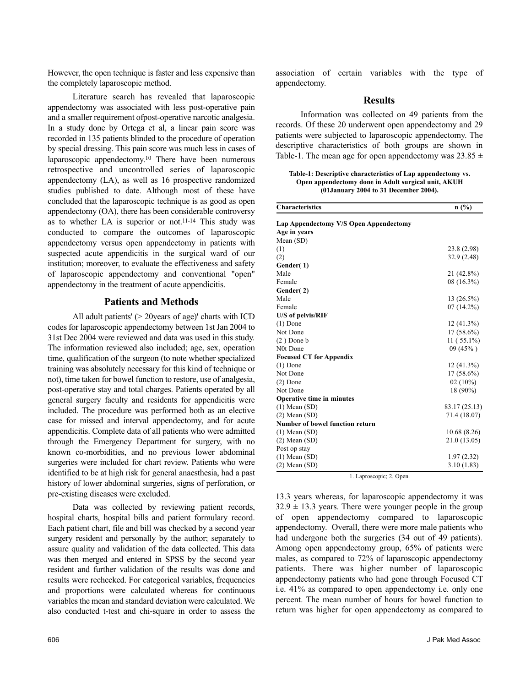However, the open technique is faster and less expensive than the completely laparoscopic method.

Literature search has revealed that laparoscopic appendectomy was associated with less post-operative pain and a smaller requirement ofpost-operative narcotic analgesia. In a study done by Ortega et al, a linear pain score was recorded in 135 patients blinded to the procedure of operation by special dressing. This pain score was much less in cases of laparoscopic appendectomy.<sup>10</sup> There have been numerous retrospective and uncontrolled series of laparoscopic appendectomy (LA), as well as 16 prospective randomized studies published to date. Although most of these have concluded that the laparoscopic technique is as good as open appendectomy (OA), there has been considerable controversy as to whether LA is superior or not.11-14 This study was conducted to compare the outcomes of laparoscopic appendectomy versus open appendectomy in patients with suspected acute appendicitis in the surgical ward of our institution; moreover, to evaluate the effectiveness and safety of laparoscopic appendectomy and conventional "open" appendectomy in the treatment of acute appendicitis.

## **Patients and Methods**

All adult patients' (> 20years of age)' charts with ICD codes for laparoscopic appendectomy between 1st Jan 2004 to 31st Dec 2004 were reviewed and data was used in this study. The information reviewed also included; age, sex, operation time, qualification of the surgeon (to note whether specialized training was absolutely necessary for this kind of technique or not), time taken for bowel function to restore, use of analgesia, post-operative stay and total charges. Patients operated by all general surgery faculty and residents for appendicitis were included. The procedure was performed both as an elective case for missed and interval appendectomy, and for acute appendicitis. Complete data of all patients who were admitted through the Emergency Department for surgery, with no known co-morbidities, and no previous lower abdominal surgeries were included for chart review. Patients who were identified to be at high risk for general anaesthesia, had a past history of lower abdominal surgeries, signs of perforation, or pre-existing diseases were excluded.

Data was collected by reviewing patient records, hospital charts, hospital bills and patient formulary record. Each patient chart, file and bill was checked by a second year surgery resident and personally by the author; separately to assure quality and validation of the data collected. This data was then merged and entered in SPSS by the second year resident and further validation of the results was done and results were rechecked. For categorical variables, frequencies and proportions were calculated whereas for continuous variables the mean and standard deviation were calculated. We also conducted t-test and chi-square in order to assess the association of certain variables with the type of appendectomy.

## **Results**

Information was collected on 49 patients from the records. Of these 20 underwent open appendectomy and 29 patients were subjected to laparoscopic appendectomy. The descriptive characteristics of both groups are shown in Table-1. The mean age for open appendectomy was  $23.85 \pm 1$ 

**Table-1: Descriptive characteristics of Lap appendectomy vs. Open appendectomy done in Adult surgical unit, AKUH (01January 2004 to 31 December 2004).**

**Characteristics n (%)**

| Lap Appendectomy V/S Open Appendectomy |               |
|----------------------------------------|---------------|
| Age in years                           |               |
| Mean (SD)<br>(1)                       | 23.8 (2.98)   |
| (2)                                    | 32.9 (2.48)   |
| Gender(1)                              |               |
| Male                                   | 21 (42.8%)    |
| Female                                 | 08 (16.3%)    |
| Gender(2)                              |               |
| Male                                   | $13(26.5\%)$  |
| Female                                 | $07(14.2\%)$  |
| U/S of pelvis/RIF                      |               |
| $(1)$ Done                             | $12(41.3\%)$  |
| Not Done                               | 17 (58.6%)    |
| $(2)$ Done b                           | $11(55.1\%)$  |
| N0t Done                               | $09(45\%)$    |
| <b>Focused CT for Appendix</b>         |               |
| $(1)$ Done                             | $12(41.3\%)$  |
| Not Done                               | $17(58.6\%)$  |
| $(2)$ Done                             | 02 $(10\%)$   |
| Not Done                               | 18 (90%)      |
| Operative time in minutes              |               |
| $(1)$ Mean $(SD)$                      | 83.17 (25.13) |
| $(2)$ Mean $(SD)$                      | 71.4 (18.07)  |
| Number of bowel function return        |               |
| $(1)$ Mean $(SD)$                      | 10.68 (8.26)  |
| $(2)$ Mean $(SD)$                      | 21.0 (13.05)  |
| Post op stay                           |               |
| $(1)$ Mean $(SD)$                      | 1.97(2.32)    |
| $(2)$ Mean $(SD)$                      | 3.10(1.83)    |

1. Laproscopic; 2. Open.

13.3 years whereas, for laparoscopic appendectomy it was  $32.9 \pm 13.3$  years. There were younger people in the group of open appendectomy compared to laparoscopic appendectomy. Overall, there were more male patients who had undergone both the surgeries (34 out of 49 patients). Among open appendectomy group, 65% of patients were males, as compared to 72% of laparoscopic appendectomy patients. There was higher number of laparoscopic appendectomy patients who had gone through Focused CT i.e. 41% as compared to open appendectomy i.e. only one percent. The mean number of hours for bowel function to return was higher for open appendectomy as compared to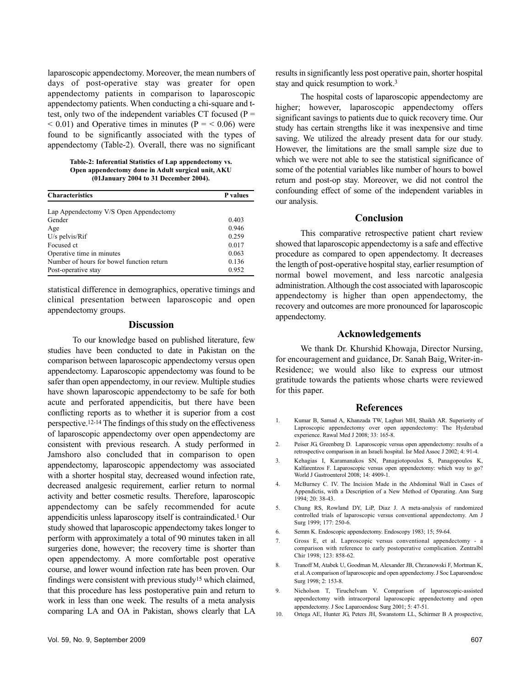laparoscopic appendectomy. Moreover, the mean numbers of days of post-operative stay was greater for open appendectomy patients in comparison to laparoscopic appendectomy patients. When conducting a chi-square and ttest, only two of the independent variables CT focused ( $P =$  $< 0.01$ ) and Operative times in minutes (P =  $< 0.06$ ) were found to be significantly associated with the types of appendectomy (Table-2). Overall, there was no significant

**Table-2: Inferential Statistics of Lap appendectomy vs. Open appendectomy done in Adult surgical unit, AKU (01January 2004 to 31 December 2004).**

| <b>Characteristics</b>                    | <b>P</b> values |
|-------------------------------------------|-----------------|
| Lap Appendectomy V/S Open Appendectomy    |                 |
| Gender                                    | 0.403           |
| Age                                       | 0.946           |
| $U/s$ pelvis/ $Rif$                       | 0.259           |
| Focused ct                                | 0.017           |
| Operative time in minutes                 | 0.063           |
| Number of hours for bowel function return | 0.136           |
| Post-operative stay                       | 0.952           |

statistical difference in demographics, operative timings and clinical presentation between laparoscopic and open appendectomy groups.

#### **Discussion**

To our knowledge based on published literature, few studies have been conducted to date in Pakistan on the comparison between laparoscopic appendectomy versus open appendectomy. Laparoscopic appendectomy was found to be safer than open appendectomy, in our review. Multiple studies have shown laparoscopic appendectomy to be safe for both acute and perforated appendicitis, but there have been conflicting reports as to whether it is superior from a cost perspective.12-14 The findings of this study on the effectiveness of laparoscopic appendectomy over open appendectomy are consistent with previous research. A study performed in Jamshoro also concluded that in comparison to open appendectomy, laparoscopic appendectomy was associated with a shorter hospital stay, decreased wound infection rate, decreased analgesic requirement, earlier return to normal activity and better cosmetic results. Therefore, laparoscopic appendectomy can be safely recommended for acute appendicitis unless laparoscopy itself is contraindicated.<sup>1</sup> Our study showed that laparoscopic appendectomy takes longer to perform with approximately a total of 90 minutes taken in all surgeries done, however; the recovery time is shorter than open appendectomy. A more comfortable post operative course, and lower wound infection rate has been proven. Our findings were consistent with previous study<sup>15</sup> which claimed, that this procedure has less postoperative pain and return to work in less than one week. The results of a meta analysis comparing LA and OA in Pakistan, shows clearly that LA

results in significantly less post operative pain, shorter hospital stay and quick resumption to work.<sup>3</sup>

The hospital costs of laparoscopic appendectomy are higher; however, laparoscopic appendectomy offers significant savings to patients due to quick recovery time. Our study has certain strengths like it was inexpensive and time saving. We utilized the already present data for our study. However, the limitations are the small sample size due to which we were not able to see the statistical significance of some of the potential variables like number of hours to bowel return and post-op stay. Moreover, we did not control the confounding effect of some of the independent variables in our analysis.

#### **Conclusion**

This comparative retrospective patient chart review showed that laparoscopic appendectomy is a safe and effective procedure as compared to open appendectomy. It decreases the length of post-operative hospital stay, earlier resumption of normal bowel movement, and less narcotic analgesia administration. Although the cost associated with laparoscopic appendectomy is higher than open appendectomy, the recovery and outcomes are more pronounced for laparoscopic appendectomy.

#### **Acknowledgements**

We thank Dr. Khurshid Khowaja, Director Nursing, for encouragement and guidance, Dr. Sanah Baig, Writer-in-Residence; we would also like to express our utmost gratitude towards the patients whose charts were reviewed for this paper.

#### **References**

- 1. Kumar B, Samad A, Khanzada TW, Laghari MH, Shaikh AR. Superiority of Laproscopic appendectomy over open appendectomy: The Hyderabad experience. Rawal Med J 2008; 33: 165-8.
- 2. Peiser JG, Greenberg D. Laparoscopic versus open appendectomy: results of a retrospective comparison in an Israeli hospital. Isr Med Assoc J 2002; 4: 91-4.
- 3. Kehagias I, Karamanakos SN, Panagiotopoulos S, Panagopoulos K, Kalfarentzos F. Laparoscopic versus open appendectomy: which way to go? World J Gastroenterol 2008; 14: 4909-1.
- 4. McBurney C. IV. The Incision Made in the Abdominal Wall in Cases of Appendictis, with a Description of a New Method of Operating. Ann Surg 1994; 20: 38-43.
- 5. Chung RS, Rowland DY, LiP, Diaz J. A meta-analysis of randomized controlled trials of laparoscopic versus conventional appendectomy. Am J Surg 1999; 177: 250-6.
- 6. Semm K. Endoscopic appendectomy. Endoscopy 1983; 15; 59-64.
- 7. Gross E, et al. Laproscopic versus conventional appendectomy a comparison with reference to early postoperative complication. Zentralbl Chir 1998; 123: 858-62.
- 8. Tranoff M, Atabek U, Goodman M, Alexander JB, Chrzanowski F, Mortman K, et al. A comparison of laparoscopic and open appendectomy. J Soc Laparoendosc Surg 1998; 2: 153-8.
- 9. Nicholson T, Tiruchelvam V. Comparison of laparoscopic-assisted appendectomy with intracorporal laparoscopic appendectomy and open appendectomy. J Soc Laparoendosc Surg 2001; 5: 47-51.
- 10. Ortega AE, Hunter JG, Peters JH, Swanstorm LL, Schirmer B A prospective,